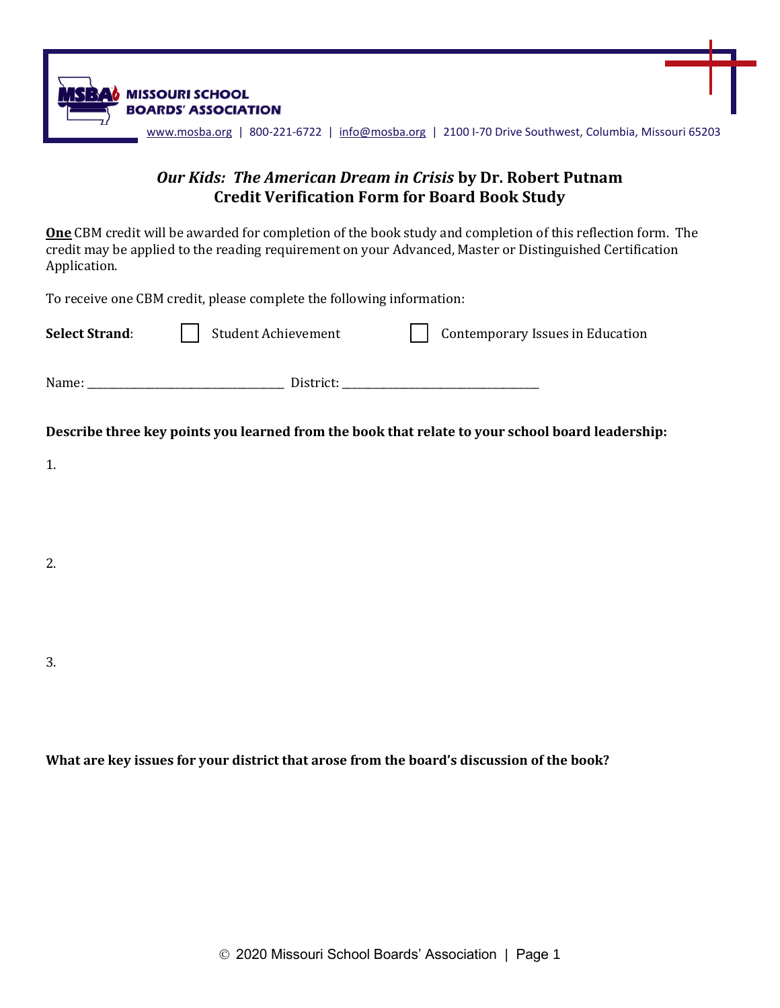

## *Our Kids: The American Dream in Crisis* **by Dr. Robert Putnam Credit Verification Form for Board Book Study**

**One** CBM credit will be awarded for completion of the book study and completion of this reflection form. The credit may be applied to the reading requirement on your Advanced, Master or Distinguished Certification Application.

To receive one CBM credit, please complete the following information:

| <b>Select Strand:</b> | <b>Student Achievement</b>                                                                       |  | Contemporary Issues in Education |  |
|-----------------------|--------------------------------------------------------------------------------------------------|--|----------------------------------|--|
|                       |                                                                                                  |  |                                  |  |
|                       | Describe three key points you learned from the book that relate to your school board leadership: |  |                                  |  |
| 1.                    |                                                                                                  |  |                                  |  |
|                       |                                                                                                  |  |                                  |  |
| 2.                    |                                                                                                  |  |                                  |  |
|                       |                                                                                                  |  |                                  |  |
|                       |                                                                                                  |  |                                  |  |
| 3.                    |                                                                                                  |  |                                  |  |
|                       |                                                                                                  |  |                                  |  |

**What are key issues for your district that arose from the board's discussion of the book?**